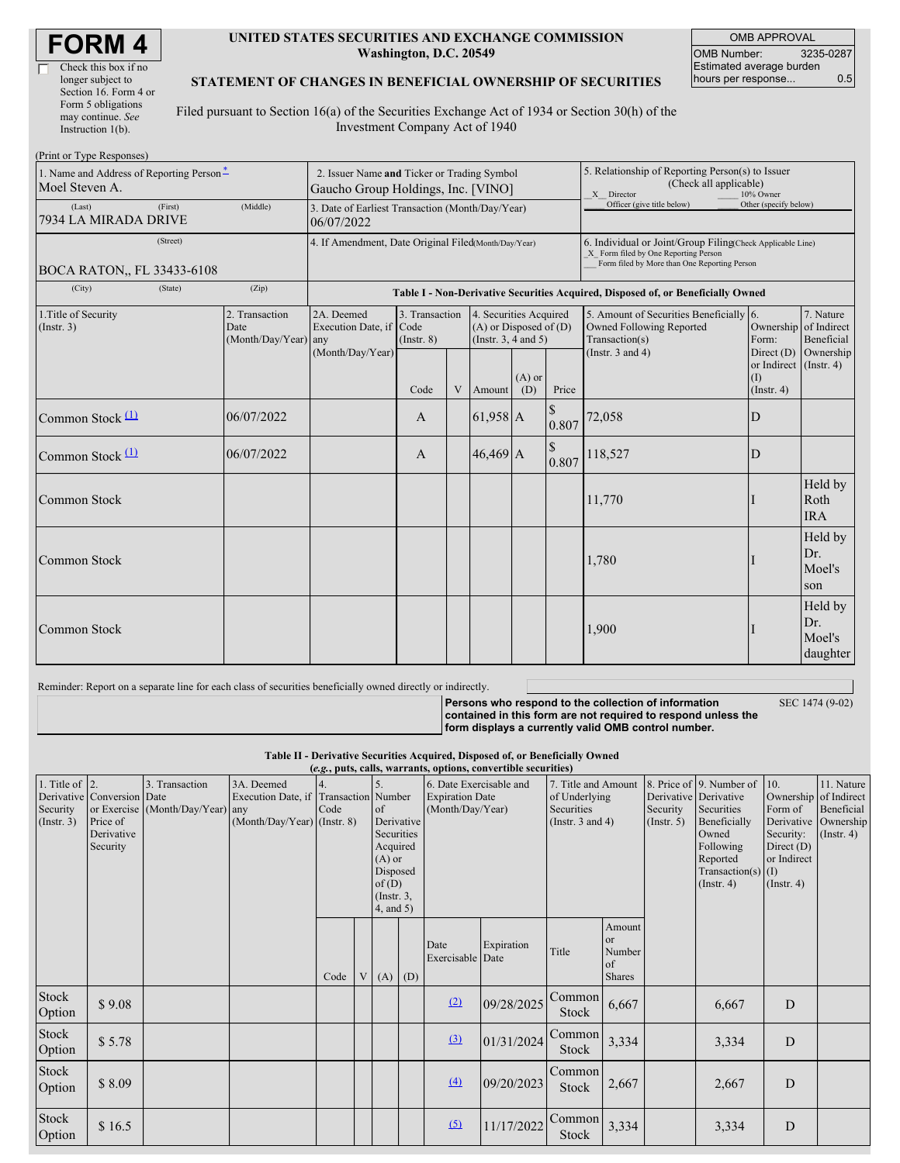| <b>FORM4</b> |
|--------------|
|--------------|

г

| Check this box if no  |
|-----------------------|
| longer subject to     |
| Section 16. Form 4 or |
| Form 5 obligations    |
| may continue. See     |
| Instruction $1(b)$ .  |
|                       |

#### **UNITED STATES SECURITIES AND EXCHANGE COMMISSION Washington, D.C. 20549**

OMB APPROVAL OMB Number: 3235-0287 Estimated average burden hours per response... 0.5

#### **STATEMENT OF CHANGES IN BENEFICIAL OWNERSHIP OF SECURITIES**

Filed pursuant to Section 16(a) of the Securities Exchange Act of 1934 or Section 30(h) of the Investment Company Act of 1940

| (Print or Type Responses)                                  |                                                                                   |                                                                                  |                                   |   |                                                                              |                 |                                                                                                                                                    |                                                                                                                |                                                          |                                      |
|------------------------------------------------------------|-----------------------------------------------------------------------------------|----------------------------------------------------------------------------------|-----------------------------------|---|------------------------------------------------------------------------------|-----------------|----------------------------------------------------------------------------------------------------------------------------------------------------|----------------------------------------------------------------------------------------------------------------|----------------------------------------------------------|--------------------------------------|
| 1. Name and Address of Reporting Person-<br>Moel Steven A. | 2. Issuer Name and Ticker or Trading Symbol<br>Gaucho Group Holdings, Inc. [VINO] |                                                                                  |                                   |   |                                                                              |                 | 5. Relationship of Reporting Person(s) to Issuer<br>(Check all applicable)<br>X Director<br>10% Owner                                              |                                                                                                                |                                                          |                                      |
| (First)<br>(Last)<br>7934 LA MIRADA DRIVE                  | (Middle)                                                                          | 3. Date of Earliest Transaction (Month/Day/Year)<br>06/07/2022                   |                                   |   |                                                                              |                 |                                                                                                                                                    | Officer (give title below)                                                                                     | Other (specify below)                                    |                                      |
| (Street)<br>BOCA RATON., FL 33433-6108                     |                                                                                   | 4. If Amendment, Date Original Filed(Month/Day/Year)                             |                                   |   |                                                                              |                 | 6. Individual or Joint/Group Filing(Check Applicable Line)<br>X Form filed by One Reporting Person<br>Form filed by More than One Reporting Person |                                                                                                                |                                                          |                                      |
| (City)<br>(State)                                          | (Zip)                                                                             | Table I - Non-Derivative Securities Acquired, Disposed of, or Beneficially Owned |                                   |   |                                                                              |                 |                                                                                                                                                    |                                                                                                                |                                                          |                                      |
| 1. Title of Security<br>(Insert. 3)                        | 2. Transaction<br>Date<br>(Month/Day/Year) any                                    | 2A. Deemed<br>Execution Date, if Code<br>(Month/Day/Year)                        | 3. Transaction<br>$($ Instr. $8)$ |   | 4. Securities Acquired<br>$(A)$ or Disposed of $(D)$<br>(Insert. 3, 4 and 5) |                 |                                                                                                                                                    | 5. Amount of Securities Beneficially 6.<br>Owned Following Reported<br>Transaction(s)<br>(Instr. $3$ and $4$ ) | Ownership of Indirect<br>Form:<br>Direct $(D)$ Ownership | 7. Nature<br>Beneficial              |
|                                                            |                                                                                   |                                                                                  | Code                              | V | Amount                                                                       | $(A)$ or<br>(D) | Price                                                                                                                                              |                                                                                                                | or Indirect $($ Instr. 4 $)$<br>(I)<br>$($ Instr. 4 $)$  |                                      |
| Common Stock $(1)$                                         | 06/07/2022                                                                        |                                                                                  | $\mathbf{A}$                      |   | $61,958$ A                                                                   |                 | 0.807                                                                                                                                              | 72,058                                                                                                         | D                                                        |                                      |
| Common Stock $(1)$                                         | 06/07/2022                                                                        |                                                                                  | $\mathbf{A}$                      |   | $46,469$ A                                                                   |                 | \$<br>0.807                                                                                                                                        | 118,527                                                                                                        | D                                                        |                                      |
| <b>Common Stock</b>                                        |                                                                                   |                                                                                  |                                   |   |                                                                              |                 |                                                                                                                                                    | 11,770                                                                                                         |                                                          | Held by<br>Roth<br><b>IRA</b>        |
| <b>Common Stock</b>                                        |                                                                                   |                                                                                  |                                   |   |                                                                              |                 |                                                                                                                                                    | 1,780                                                                                                          |                                                          | Held by<br>Dr.<br>Moel's<br>son      |
| Common Stock                                               |                                                                                   |                                                                                  |                                   |   |                                                                              |                 |                                                                                                                                                    | 1,900                                                                                                          |                                                          | Held by<br>Dr.<br>Moel's<br>daughter |

Reminder: Report on a separate line for each class of securities beneficially owned directly or indirectly.

SEC 1474 (9-02)

**Persons who respond to the collection of information contained in this form are not required to respond unless the form displays a currently valid OMB control number.**

**Table II - Derivative Securities Acquired, Disposed of, or Beneficially Owned**

| (e.g., puts, calls, warrants, options, convertible securities) |                                    |                                  |                                       |      |   |                                                                                                              |                        |                          |               |                       |                                               |                       |                                                                                            |                                                              |                                    |
|----------------------------------------------------------------|------------------------------------|----------------------------------|---------------------------------------|------|---|--------------------------------------------------------------------------------------------------------------|------------------------|--------------------------|---------------|-----------------------|-----------------------------------------------|-----------------------|--------------------------------------------------------------------------------------------|--------------------------------------------------------------|------------------------------------|
| 1. Title of $\vert$ 2.                                         |                                    | 3. Transaction                   | 3A. Deemed                            |      |   |                                                                                                              |                        | 6. Date Exercisable and  |               | 7. Title and Amount   |                                               |                       | 8. Price of 9. Number of                                                                   | 10.                                                          | 11. Nature                         |
|                                                                | Derivative Conversion Date         |                                  | Execution Date, if Transaction Number |      |   |                                                                                                              | <b>Expiration Date</b> |                          | of Underlying |                       |                                               | Derivative Derivative |                                                                                            | Ownership of Indirect                                        |                                    |
| Security                                                       |                                    | or Exercise (Month/Day/Year) any |                                       | Code |   | of                                                                                                           |                        | (Month/Day/Year)         |               | Securities            |                                               | Security              | Securities                                                                                 | Form of                                                      | Beneficial                         |
| (Insert. 3)                                                    | Price of<br>Derivative<br>Security |                                  | $(Month/Day/Year)$ (Instr. 8)         |      |   | Derivative<br>Securities<br>Acquired<br>$(A)$ or<br>Disposed<br>of(D)<br>$($ Instr. $3$ ,<br>$4$ , and $5$ ) |                        |                          |               | (Instr. $3$ and $4$ ) |                                               | $($ Instr. 5 $)$      | Beneficially<br>Owned<br>Following<br>Reported<br>Transaction(s) $(I)$<br>$($ Instr. 4 $)$ | Security:<br>Direct $(D)$<br>or Indirect<br>$($ Instr. 4 $)$ | Derivative Ownership<br>(Insert 4) |
|                                                                |                                    |                                  |                                       | Code | V | (A)                                                                                                          | (D)                    | Date<br>Exercisable Date | Expiration    | Title                 | Amount<br>or<br>Number<br>of<br><b>Shares</b> |                       |                                                                                            |                                                              |                                    |
| Stock<br>Option                                                | \$9.08                             |                                  |                                       |      |   |                                                                                                              |                        | (2)                      | 09/28/2025    | Common<br>Stock       | 6,667                                         |                       | 6,667                                                                                      | D                                                            |                                    |
| Stock<br>Option                                                | \$5.78                             |                                  |                                       |      |   |                                                                                                              |                        | (3)                      | 01/31/2024    | Common<br>Stock       | 3,334                                         |                       | 3,334                                                                                      | D                                                            |                                    |
| Stock<br>Option                                                | \$8.09                             |                                  |                                       |      |   |                                                                                                              |                        | (4)                      | 09/20/2023    | Common<br>Stock       | 2,667                                         |                       | 2,667                                                                                      | D                                                            |                                    |
| Stock<br>Option                                                | \$16.5                             |                                  |                                       |      |   |                                                                                                              |                        | (5)                      | 11/17/2022    | Common<br>Stock       | 3,334                                         |                       | 3,334                                                                                      | ${\bf D}$                                                    |                                    |